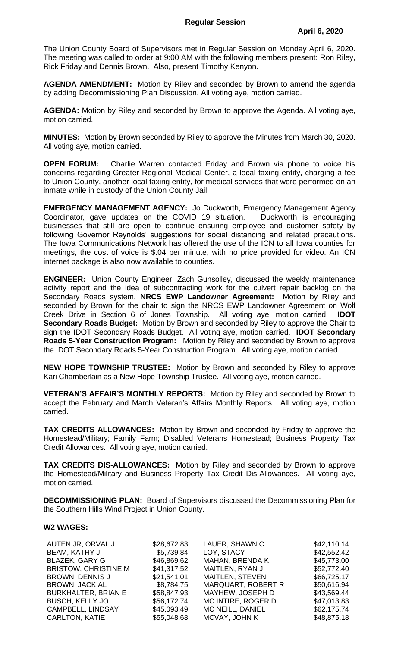## **Regular Session**

The Union County Board of Supervisors met in Regular Session on Monday April 6, 2020. The meeting was called to order at 9:00 AM with the following members present: Ron Riley, Rick Friday and Dennis Brown. Also, present Timothy Kenyon.

**AGENDA AMENDMENT:** Motion by Riley and seconded by Brown to amend the agenda by adding Decommissioning Plan Discussion. All voting aye, motion carried.

**AGENDA:** Motion by Riley and seconded by Brown to approve the Agenda. All voting aye, motion carried.

**MINUTES:** Motion by Brown seconded by Riley to approve the Minutes from March 30, 2020. All voting aye, motion carried.

**OPEN FORUM:** Charlie Warren contacted Friday and Brown via phone to voice his concerns regarding Greater Regional Medical Center, a local taxing entity, charging a fee to Union County, another local taxing entity, for medical services that were performed on an inmate while in custody of the Union County Jail.

**EMERGENCY MANAGEMENT AGENCY:** Jo Duckworth, Emergency Management Agency Coordinator, gave updates on the COVID 19 situation. Duckworth is encouraging businesses that still are open to continue ensuring employee and customer safety by following Governor Reynolds' suggestions for social distancing and related precautions. The Iowa Communications Network has offered the use of the ICN to all Iowa counties for meetings, the cost of voice is \$.04 per minute, with no price provided for video. An ICN internet package is also now available to counties.

**ENGINEER:** Union County Engineer, Zach Gunsolley, discussed the weekly maintenance activity report and the idea of subcontracting work for the culvert repair backlog on the Secondary Roads system. **NRCS EWP Landowner Agreement:** Motion by Riley and seconded by Brown for the chair to sign the NRCS EWP Landowner Agreement on Wolf Creek Drive in Section 6 of Jones Township. All voting aye, motion carried. **IDOT Secondary Roads Budget:** Motion by Brown and seconded by Riley to approve the Chair to sign the IDOT Secondary Roads Budget. All voting aye, motion carried. **IDOT Secondary Roads 5-Year Construction Program:** Motion by Riley and seconded by Brown to approve the IDOT Secondary Roads 5-Year Construction Program. All voting aye, motion carried.

**NEW HOPE TOWNSHIP TRUSTEE:** Motion by Brown and seconded by Riley to approve Kari Chamberlain as a New Hope Township Trustee. All voting aye, motion carried.

**VETERAN'S AFFAIR'S MONTHLY REPORTS:** Motion by Riley and seconded by Brown to accept the February and March Veteran's Affairs Monthly Reports. All voting aye, motion carried.

**TAX CREDITS ALLOWANCES:** Motion by Brown and seconded by Friday to approve the Homestead/Military; Family Farm; Disabled Veterans Homestead; Business Property Tax Credit Allowances. All voting aye, motion carried.

**TAX CREDITS DIS-ALLOWANCES:** Motion by Riley and seconded by Brown to approve the Homestead/Military and Business Property Tax Credit Dis-Allowances. All voting aye, motion carried.

**DECOMMISSIONING PLAN:** Board of Supervisors discussed the Decommissioning Plan for the Southern Hills Wind Project in Union County.

## **W2 WAGES:**